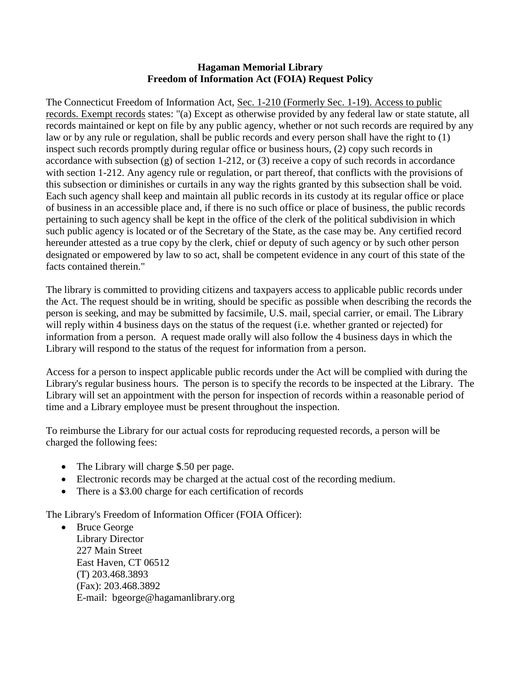## **Hagaman Memorial Library Freedom of Information Act (FOIA) Request Policy**

The Connecticut Freedom of Information Act, <u>Sec. 1-210 (Formerly Sec. 1-19)</u>. Access to public records. Exempt records states: "(a) Except as otherwise provided by any federal law or state statute, all records maintained or kept on file by any public agency, whether or not such records are required by any law or by any rule or regulation, shall be public records and every person shall have the right to (1) inspect such records promptly during regular office or business hours, (2) copy such records in accordance with subsection (g) of section 1-212, or (3) receive a copy of such records in accordance with section 1-212. Any agency rule or regulation, or part thereof, that conflicts with the provisions of this subsection or diminishes or curtails in any way the rights granted by this subsection shall be void. Each such agency shall keep and maintain all public records in its custody at its regular office or place of business in an accessible place and, if there is no such office or place of business, the public records pertaining to such agency shall be kept in the office of the clerk of the political subdivision in which such public agency is located or of the Secretary of the State, as the case may be. Any certified record hereunder attested as a true copy by the clerk, chief or deputy of such agency or by such other person designated or empowered by law to so act, shall be competent evidence in any court of this state of the facts contained therein."

The library is committed to providing citizens and taxpayers access to applicable public records under the Act. The request should be in writing, should be specific as possible when describing the records the person is seeking, and may be submitted by facsimile, U.S. mail, special carrier, or email. The Library will reply within 4 business days on the status of the request (i.e. whether granted or rejected) for information from a person. A request made orally will also follow the 4 business days in which the Library will respond to the status of the request for information from a person.

Access for a person to inspect applicable public records under the Act will be complied with during the Library's regular business hours. The person is to specify the records to be inspected at the Library. The Library will set an appointment with the person for inspection of records within a reasonable period of time and a Library employee must be present throughout the inspection.

To reimburse the Library for our actual costs for reproducing requested records, a person will be charged the following fees:

- The Library will charge \$.50 per page.
- Electronic records may be charged at the actual cost of the recording medium.
- There is a \$3.00 charge for each certification of records

The Library's Freedom of Information Officer (FOIA Officer):

• Bruce George Library Director 227 Main Street East Haven, CT 06512 (T) 203.468.3893 (Fax): 203.468.3892 E-mail: bgeorge@hagamanlibrary.org